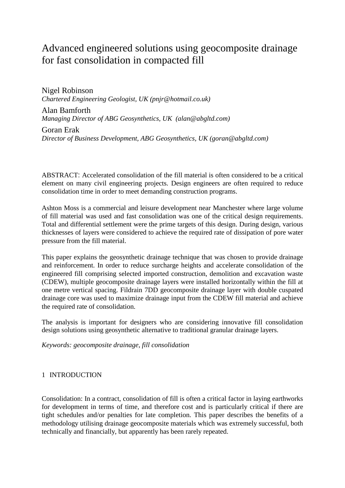# Advanced engineered solutions using geocomposite drainage for fast consolidation in compacted fill

Nigel Robinson *Chartered Engineering Geologist, UK (pnjr@hotmail.co.uk)*

Alan Bamforth *Managing Director of ABG Geosynthetics, UK (alan@abgltd.com)*

Goran Erak *Director of Business Development, ABG Geosynthetics, UK [\(goran@abgltd.com\)](mailto:dunkown@institute.org)*

ABSTRACT: Accelerated consolidation of the fill material is often considered to be a critical element on many civil engineering projects. Design engineers are often required to reduce consolidation time in order to meet demanding construction programs.

Ashton Moss is a commercial and leisure development near Manchester where large volume of fill material was used and fast consolidation was one of the critical design requirements. Total and differential settlement were the prime targets of this design. During design, various thicknesses of layers were considered to achieve the required rate of dissipation of pore water pressure from the fill material.

This paper explains the geosynthetic drainage technique that was chosen to provide drainage and reinforcement. In order to reduce surcharge heights and accelerate consolidation of the engineered fill comprising selected imported construction, demolition and excavation waste (CDEW), multiple geocomposite drainage layers were installed horizontally within the fill at one metre vertical spacing. Fildrain 7DD geocomposite drainage layer with double cuspated drainage core was used to maximize drainage input from the CDEW fill material and achieve the required rate of consolidation.

The analysis is important for designers who are considering innovative fill consolidation design solutions using geosynthetic alternative to traditional granular drainage layers.

*Keywords: geocomposite drainage, fill consolidation*

# 1 INTRODUCTION

Consolidation: In a contract, consolidation of fill is often a critical factor in laying earthworks for development in terms of time, and therefore cost and is particularly critical if there are tight schedules and/or penalties for late completion. This paper describes the benefits of a methodology utilising drainage geocomposite materials which was extremely successful, both technically and financially, but apparently has been rarely repeated.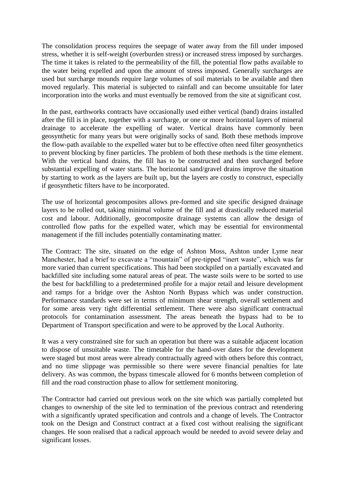The consolidation process requires the seepage of water away from the fill under imposed stress, whether it is self-weight (overburden stress) or increased stress imposed by surcharges. The time it takes is related to the permeability of the fill, the potential flow paths available to the water being expelled and upon the amount of stress imposed. Generally surcharges are used but surcharge mounds require large volumes of soil materials to be available and then moved regularly. This material is subjected to rainfall and can become unsuitable for later incorporation into the works and must eventually be removed from the site at significant cost.

In the past, earthworks contracts have occasionally used either vertical (band) drains installed after the fill is in place, together with a surcharge, or one or more horizontal layers of mineral drainage to accelerate the expelling of water. Vertical drains have commonly been geosynthetic for many years but were originally socks of sand. Both these methods improve the flow-path available to the expelled water but to be effective often need filter geosynthetics to prevent blocking by finer particles. The problem of both these methods is the time element. With the vertical band drains, the fill has to be constructed and then surcharged before substantial expelling of water starts. The horizontal sand/gravel drains improve the situation by starting to work as the layers are built up, but the layers are costly to construct, especially if geosynthetic filters have to be incorporated.

The use of horizontal geocomposites allows pre-formed and site specific designed drainage layers to be rolled out, taking minimal volume of the fill and at drastically reduced material cost and labour. Additionally, geocomposite drainage systems can allow the design of controlled flow paths for the expelled water, which may be essential for environmental management if the fill includes potentially contaminating matter.

The Contract: The site, situated on the edge of Ashton Moss, Ashton under Lyme near Manchester, had a brief to excavate a "mountain" of pre-tipped "inert waste", which was far more varied than current specifications. This had been stockpiled on a partially excavated and backfilled site including some natural areas of peat. The waste soils were to be sorted to use the best for backfilling to a predetermined profile for a major retail and leisure development and ramps for a bridge over the Ashton North Bypass which was under construction. Performance standards were set in terms of minimum shear strength, overall settlement and for some areas very tight differential settlement. There were also significant contractual protocols for contamination assessment. The areas beneath the bypass had to be to Department of Transport specification and were to be approved by the Local Authority.

It was a very constrained site for such an operation but there was a suitable adjacent location to dispose of unsuitable waste. The timetable for the hand-over dates for the development were staged but most areas were already contractually agreed with others before this contract, and no time slippage was permissible so there were severe financial penalties for late delivery. As was common, the bypass timescale allowed for 6 months between completion of fill and the road construction phase to allow for settlement monitoring.

The Contractor had carried out previous work on the site which was partially completed but changes to ownership of the site led to termination of the previous contract and retendering with a significantly uprated specification and controls and a change of levels. The Contractor took on the Design and Construct contract at a fixed cost without realising the significant changes. He soon realised that a radical approach would be needed to avoid severe delay and significant losses.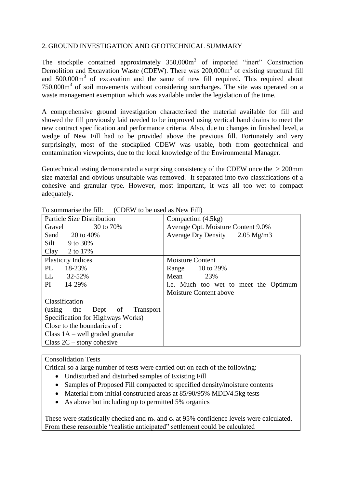# 2. GROUND INVESTIGATION AND GEOTECHNICAL SUMMARY

The stockpile contained approximately  $350,000m^3$  of imported "inert" Construction Demolition and Excavation Waste (CDEW). There was 200,000m<sup>3</sup> of existing structural fill and 500,000m<sup>3</sup> of excavation and the same of new fill required. This required about  $750,000\,\text{m}^3$  of soil movements without considering surcharges. The site was operated on a waste management exemption which was available under the legislation of the time.

A comprehensive ground investigation characterised the material available for fill and showed the fill previously laid needed to be improved using vertical band drains to meet the new contract specification and performance criteria. Also, due to changes in finished level, a wedge of New Fill had to be provided above the previous fill. Fortunately and very surprisingly, most of the stockpiled CDEW was usable, both from geotechnical and contamination viewpoints, due to the local knowledge of the Environmental Manager.

Geotechnical testing demonstrated a surprising consistency of the CDEW once the > 200mm size material and obvious unsuitable was removed. It separated into two classifications of a cohesive and granular type. However, most important, it was all too wet to compact adequately.

| TO SUMMIQUIST THE THIL<br>(CDLW to be used as iNEW Fill) |                                           |
|----------------------------------------------------------|-------------------------------------------|
| <b>Particle Size Distribution</b>                        | Compaction (4.5kg)                        |
| 30 to 70%<br>Gravel                                      | Average Opt. Moisture Content 9.0%        |
| Sand $20 \text{ to } 40\%$                               | Average Dry Density $2.05 \text{ Mg/m}$ 3 |
| Silt $9$ to 30%                                          |                                           |
| Clay $2$ to 17%                                          |                                           |
| <b>Plasticity Indices</b>                                | <b>Moisture Content</b>                   |
| 18-23%<br>PL.                                            | Range 10 to 29%                           |
| LL<br>32-52%                                             | Mean<br>23%                               |
| PI 14-29%                                                | i.e. Much too wet to meet the Optimum     |
|                                                          | Moisture Content above                    |
| Classification                                           |                                           |
| Dept of Transport<br>(using the                          |                                           |
| Specification for Highways Works)                        |                                           |
| Close to the boundaries of :                             |                                           |
| Class $1A$ – well graded granular                        |                                           |
| Class $2C -$ stony cohesive                              |                                           |

To summarise the fill: (CDEW to be used as New Fill)

#### Consolidation Tests

Critical so a large number of tests were carried out on each of the following:

- Undisturbed and disturbed samples of Existing Fill
- Samples of Proposed Fill compacted to specified density/moisture contents
- Material from initial constructed areas at 85/90/95% MDD/4.5kg tests
- As above but including up to permitted 5% organics

These were statistically checked and  $m_v$  and  $c_v$  at 95% confidence levels were calculated. From these reasonable "realistic anticipated" settlement could be calculated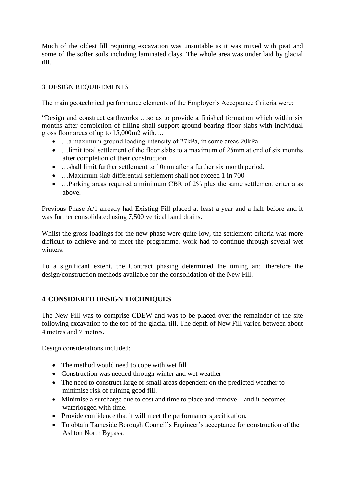Much of the oldest fill requiring excavation was unsuitable as it was mixed with peat and some of the softer soils including laminated clays. The whole area was under laid by glacial till.

# 3. DESIGN REQUIREMENTS

The main geotechnical performance elements of the Employer's Acceptance Criteria were:

"Design and construct earthworks …so as to provide a finished formation which within six months after completion of filling shall support ground bearing floor slabs with individual gross floor areas of up to 15,000m2 with….

- …a maximum ground loading intensity of 27kPa, in some areas 20kPa
- ... limit total settlement of the floor slabs to a maximum of 25mm at end of six months after completion of their construction
- ...shall limit further settlement to 10mm after a further six month period.
- …Maximum slab differential settlement shall not exceed 1 in 700
- …Parking areas required a minimum CBR of 2% plus the same settlement criteria as above.

Previous Phase A/1 already had Existing Fill placed at least a year and a half before and it was further consolidated using 7,500 vertical band drains.

Whilst the gross loadings for the new phase were quite low, the settlement criteria was more difficult to achieve and to meet the programme, work had to continue through several wet winters.

To a significant extent, the Contract phasing determined the timing and therefore the design/construction methods available for the consolidation of the New Fill.

# **4. CONSIDERED DESIGN TECHNIQUES**

The New Fill was to comprise CDEW and was to be placed over the remainder of the site following excavation to the top of the glacial till. The depth of New Fill varied between about 4 metres and 7 metres.

Design considerations included:

- The method would need to cope with wet fill
- Construction was needed through winter and wet weather
- The need to construct large or small areas dependent on the predicted weather to minimise risk of ruining good fill.
- Minimise a surcharge due to cost and time to place and remove and it becomes waterlogged with time.
- Provide confidence that it will meet the performance specification.
- To obtain Tameside Borough Council's Engineer's acceptance for construction of the Ashton North Bypass.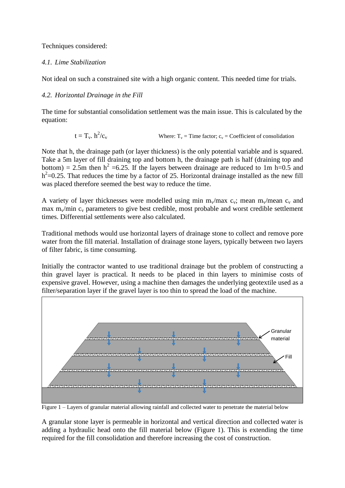Techniques considered:

# *4.1. Lime Stabilization*

Not ideal on such a constrained site with a high organic content. This needed time for trials.

# *4.2. Horizontal Drainage in the Fill*

The time for substantial consolidation settlement was the main issue. This is calculated by the equation:

$$
t = T_v \cdot h^2/c_v
$$
 Where:  $T_v$  = Time factor;  $c_v$  = Coefficient of consolidation

Note that h, the drainage path (or layer thickness) is the only potential variable and is squared. Take a 5m layer of fill draining top and bottom h, the drainage path is half (draining top and bottom) = 2.5m then  $h^2$  =6.25. If the layers between drainage are reduced to 1m h=0.5 and  $h^2$ =0.25. That reduces the time by a factor of 25. Horizontal drainage installed as the new fill was placed therefore seemed the best way to reduce the time.

A variety of layer thicknesses were modelled using min  $m_v/max$  c<sub>v</sub>; mean  $m_v/mean$  c<sub>v</sub> and max  $m_v/m$ in  $c_v$  parameters to give best credible, most probable and worst credible settlement times. Differential settlements were also calculated.

Traditional methods would use horizontal layers of drainage stone to collect and remove pore water from the fill material. Installation of drainage stone layers, typically between two layers of filter fabric, is time consuming.

Initially the contractor wanted to use traditional drainage but the problem of constructing a thin gravel layer is practical. It needs to be placed in thin layers to minimise costs of expensive gravel. However, using a machine then damages the underlying geotextile used as a filter/separation layer if the gravel layer is too thin to spread the load of the machine.



Figure 1 – Layers of granular material allowing rainfall and collected water to penetrate the material below

A granular stone layer is permeable in horizontal and vertical direction and collected water is adding a hydraulic head onto the fill material below (Figure 1). This is extending the time required for the fill consolidation and therefore increasing the cost of construction.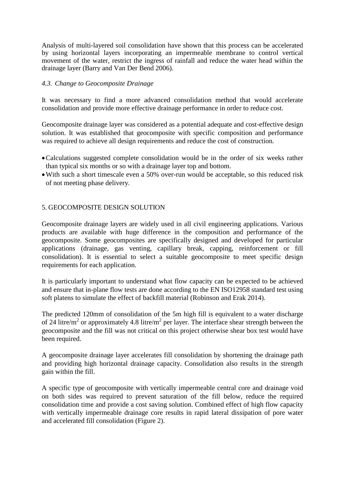Analysis of multi-layered soil consolidation have shown that this process can be accelerated by using horizontal layers incorporating an impermeable membrane to control vertical movement of the water, restrict the ingress of rainfall and reduce the water head within the drainage layer (Barry and Van Der Bend 2006).

### *4.3. Change to Geocomposite Drainage*

It was necessary to find a more advanced consolidation method that would accelerate consolidation and provide more effective drainage performance in order to reduce cost.

Geocomposite drainage layer was considered as a potential adequate and cost-effective design solution. It was established that geocomposite with specific composition and performance was required to achieve all design requirements and reduce the cost of construction.

- Calculations suggested complete consolidation would be in the order of six weeks rather than typical six months or so with a drainage layer top and bottom.
- With such a short timescale even a 50% over-run would be acceptable, so this reduced risk of not meeting phase delivery.

#### 5. GEOCOMPOSITE DESIGN SOLUTION

Geocomposite drainage layers are widely used in all civil engineering applications. Various products are available with huge difference in the composition and performance of the geocomposite. Some geocomposites are specifically designed and developed for particular applications (drainage, gas venting, capillary break, capping, reinforcement or fill consolidation). It is essential to select a suitable geocomposite to meet specific design requirements for each application.

It is particularly important to understand what flow capacity can be expected to be achieved and ensure that in-plane flow tests are done according to the EN ISO12958 standard test using soft platens to simulate the effect of backfill material (Robinson and Erak 2014).

The predicted 120mm of consolidation of the 5m high fill is equivalent to a water discharge of 24 litre/ $m^2$  or approximately 4.8 litre/ $m^2$  per layer. The interface shear strength between the geocomposite and the fill was not critical on this project otherwise shear box test would have been required.

A geocomposite drainage layer accelerates fill consolidation by shortening the drainage path and providing high horizontal drainage capacity. Consolidation also results in the strength gain within the fill.

A specific type of geocomposite with vertically impermeable central core and drainage void on both sides was required to prevent saturation of the fill below, reduce the required consolidation time and provide a cost saving solution. Combined effect of high flow capacity with vertically impermeable drainage core results in rapid lateral dissipation of pore water and accelerated fill consolidation (Figure 2).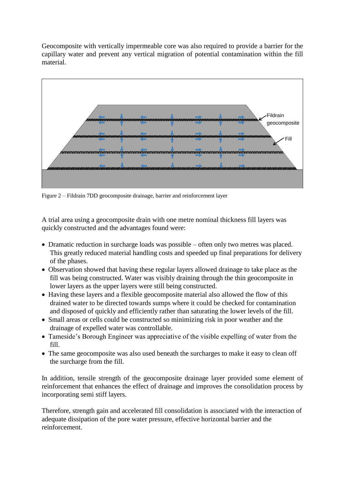Geocomposite with vertically impermeable core was also required to provide a barrier for the capillary water and prevent any vertical migration of potential contamination within the fill material.



Figure 2 – Fildrain 7DD geocomposite drainage, barrier and reinforcement layer

A trial area using a geocomposite drain with one metre nominal thickness fill layers was quickly constructed and the advantages found were:

- Dramatic reduction in surcharge loads was possible often only two metres was placed. This greatly reduced material handling costs and speeded up final preparations for delivery of the phases.
- Observation showed that having these regular layers allowed drainage to take place as the fill was being constructed. Water was visibly draining through the thin geocomposite in lower layers as the upper layers were still being constructed.
- Having these layers and a flexible geocomposite material also allowed the flow of this drained water to be directed towards sumps where it could be checked for contamination and disposed of quickly and efficiently rather than saturating the lower levels of the fill.
- Small areas or cells could be constructed so minimizing risk in poor weather and the drainage of expelled water was controllable.
- Tameside's Borough Engineer was appreciative of the visible expelling of water from the fill.
- The same geocomposite was also used beneath the surcharges to make it easy to clean off the surcharge from the fill.

In addition, tensile strength of the geocomposite drainage layer provided some element of reinforcement that enhances the effect of drainage and improves the consolidation process by incorporating semi stiff layers.

Therefore, strength gain and accelerated fill consolidation is associated with the interaction of adequate dissipation of the pore water pressure, effective horizontal barrier and the reinforcement.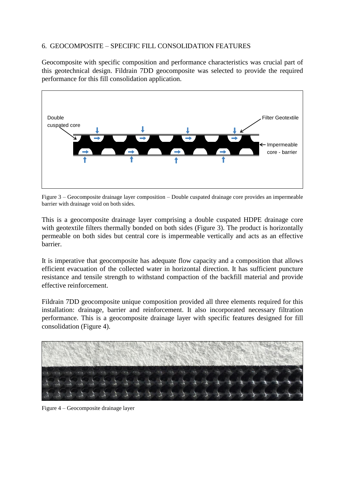# 6. GEOCOMPOSITE – SPECIFIC FILL CONSOLIDATION FEATURES

Geocomposite with specific composition and performance characteristics was crucial part of this geotechnical design. Fildrain 7DD geocomposite was selected to provide the required performance for this fill consolidation application.



Figure 3 – Geocomposite drainage layer composition – Double cuspated drainage core provides an impermeable barrier with drainage void on both sides.

This is a geocomposite drainage layer comprising a double cuspated HDPE drainage core with geotextile filters thermally bonded on both sides (Figure 3). The product is horizontally permeable on both sides but central core is impermeable vertically and acts as an effective barrier.

It is imperative that geocomposite has adequate flow capacity and a composition that allows efficient evacuation of the collected water in horizontal direction. It has sufficient puncture resistance and tensile strength to withstand compaction of the backfill material and provide effective reinforcement.

Fildrain 7DD geocomposite unique composition provided all three elements required for this installation: drainage, barrier and reinforcement. It also incorporated necessary filtration performance. This is a geocomposite drainage layer with specific features designed for fill consolidation (Figure 4).



Figure 4 – Geocomposite drainage layer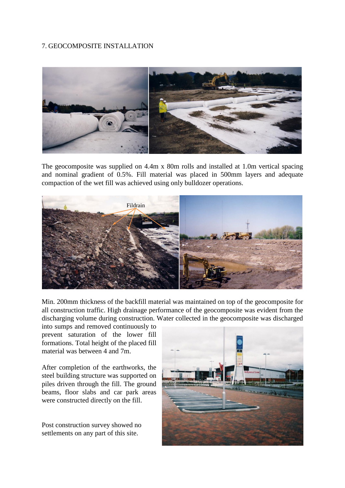# 7. GEOCOMPOSITE INSTALLATION



The geocomposite was supplied on 4.4m x 80m rolls and installed at 1.0m vertical spacing and nominal gradient of 0.5%. Fill material was placed in 500mm layers and adequate compaction of the wet fill was achieved using only bulldozer operations.



Min. 200mm thickness of the backfill material was maintained on top of the geocomposite for all construction traffic. High drainage performance of the geocomposite was evident from the discharging volume during construction. Water collected in the geocomposite was discharged

into sumps and removed continuously to prevent saturation of the lower fill formations. Total height of the placed fill material was between 4 and 7m.

After completion of the earthworks, the steel building structure was supported on piles driven through the fill. The ground beams, floor slabs and car park areas were constructed directly on the fill.

Post construction survey showed no settlements on any part of this site.

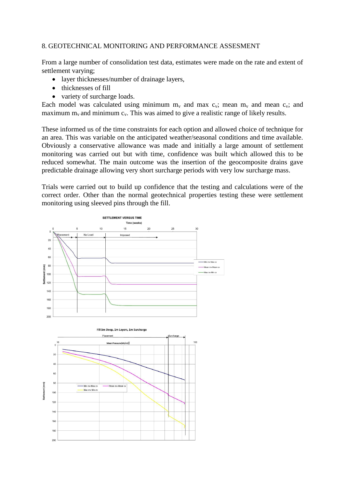#### 8. GEOTECHNICAL MONITORING AND PERFORMANCE ASSESMENT

From a large number of consolidation test data, estimates were made on the rate and extent of settlement varying;

- layer thicknesses/number of drainage layers,
- thicknesses of fill
- variety of surcharge loads.

Each model was calculated using minimum  $m_v$  and max  $c_v$ ; mean  $m_v$  and mean  $c_v$ ; and maximum  $m_v$  and minimum  $c_v$ . This was aimed to give a realistic range of likely results.

These informed us of the time constraints for each option and allowed choice of technique for an area. This was variable on the anticipated weather/seasonal conditions and time available. Obviously a conservative allowance was made and initially a large amount of settlement monitoring was carried out but with time, confidence was built which allowed this to be reduced somewhat. The main outcome was the insertion of the geocomposite drains gave predictable drainage allowing very short surcharge periods with very low surcharge mass.

Trials were carried out to build up confidence that the testing and calculations were of the correct order. Other than the normal geotechnical properties testing these were settlement monitoring using sleeved pins through the fill.

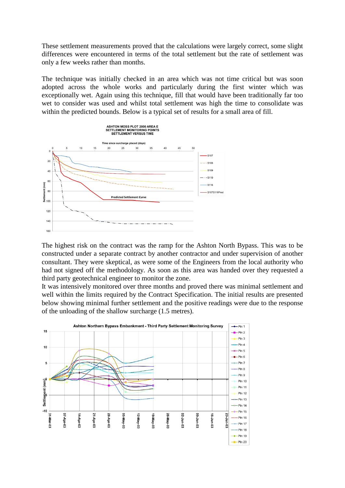These settlement measurements proved that the calculations were largely correct, some slight differences were encountered in terms of the total settlement but the rate of settlement was only a few weeks rather than months.

The technique was initially checked in an area which was not time critical but was soon adopted across the whole works and particularly during the first winter which was exceptionally wet. Again using this technique, fill that would have been traditionally far too wet to consider was used and whilst total settlement was high the time to consolidate was within the predicted bounds. Below is a typical set of results for a small area of fill.



The highest risk on the contract was the ramp for the Ashton North Bypass. This was to be constructed under a separate contract by another contractor and under supervision of another consultant. They were skeptical, as were some of the Engineers from the local authority who had not signed off the methodology. As soon as this area was handed over they requested a third party geotechnical engineer to monitor the zone.

It was intensively monitored over three months and proved there was minimal settlement and well within the limits required by the Contract Specification. The initial results are presented below showing minimal further settlement and the positive readings were due to the response of the unloading of the shallow surcharge (1.5 metres).

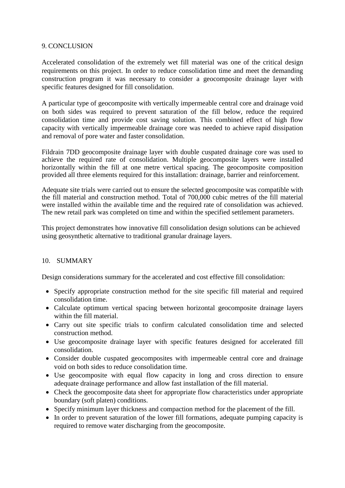#### 9. CONCLUSION

Accelerated consolidation of the extremely wet fill material was one of the critical design requirements on this project. In order to reduce consolidation time and meet the demanding construction program it was necessary to consider a geocomposite drainage layer with specific features designed for fill consolidation.

A particular type of geocomposite with vertically impermeable central core and drainage void on both sides was required to prevent saturation of the fill below, reduce the required consolidation time and provide cost saving solution. This combined effect of high flow capacity with vertically impermeable drainage core was needed to achieve rapid dissipation and removal of pore water and faster consolidation.

Fildrain 7DD geocomposite drainage layer with double cuspated drainage core was used to achieve the required rate of consolidation. Multiple geocomposite layers were installed horizontally within the fill at one metre vertical spacing. The geocomposite composition provided all three elements required for this installation: drainage, barrier and reinforcement.

Adequate site trials were carried out to ensure the selected geocomposite was compatible with the fill material and construction method. Total of 700,000 cubic metres of the fill material were installed within the available time and the required rate of consolidation was achieved. The new retail park was completed on time and within the specified settlement parameters.

This project demonstrates how innovative fill consolidation design solutions can be achieved using geosynthetic alternative to traditional granular drainage layers.

# 10. SUMMARY

Design considerations summary for the accelerated and cost effective fill consolidation:

- Specify appropriate construction method for the site specific fill material and required consolidation time.
- Calculate optimum vertical spacing between horizontal geocomposite drainage layers within the fill material.
- Carry out site specific trials to confirm calculated consolidation time and selected construction method.
- Use geocomposite drainage layer with specific features designed for accelerated fill consolidation.
- Consider double cuspated geocomposites with impermeable central core and drainage void on both sides to reduce consolidation time.
- Use geocomposite with equal flow capacity in long and cross direction to ensure adequate drainage performance and allow fast installation of the fill material.
- Check the geocomposite data sheet for appropriate flow characteristics under appropriate boundary (soft platen) conditions.
- Specify minimum layer thickness and compaction method for the placement of the fill.
- In order to prevent saturation of the lower fill formations, adequate pumping capacity is required to remove water discharging from the geocomposite.